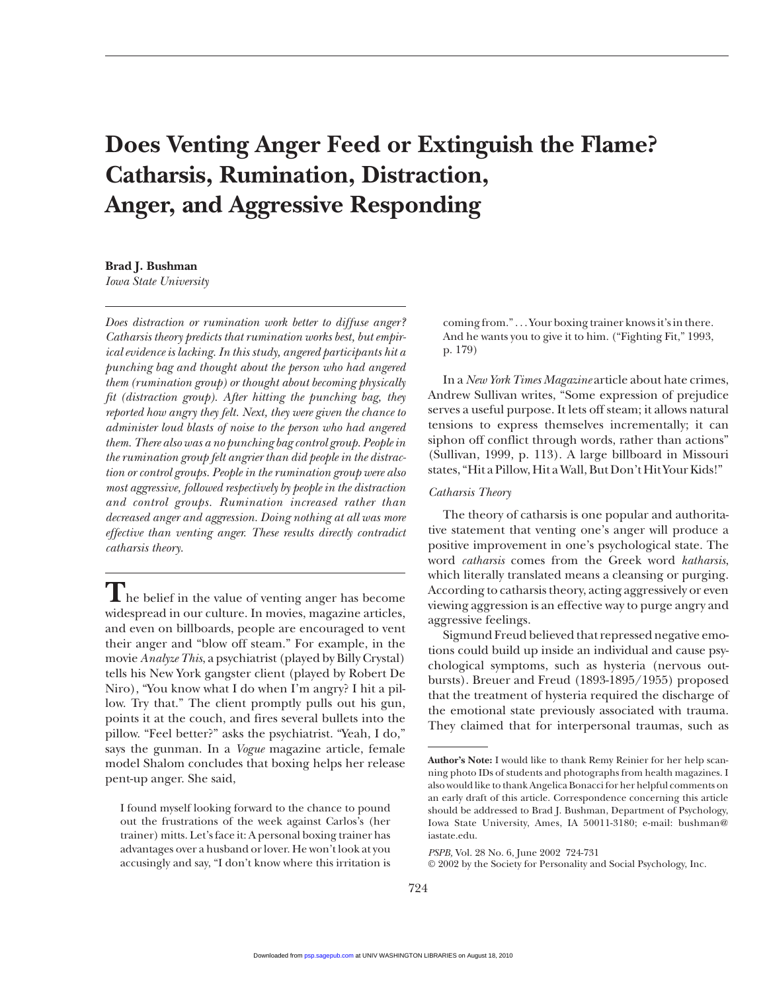# **Does Venting Anger Feed or Extinguish the Flame? Catharsis, Rumination, Distraction, Anger, and Aggressive Responding**

# **Brad J. Bushman**

*Iowa State University*

*Does distraction or rumination work better to diffuse anger?* Catharsis theory predicts that rumination works best, but empir*ical evidence is lacking. In this study, angered participants hit a punching bag and thought about the person who had angered them (rumination group) or thought about becoming physically fit (distraction group). After hitting the punching bag, they reported how angry they felt. Next, they were given the chance to administer loud blasts of noise to the person who had angered them. There also was a no punching bag control group. People in the rumination group felt angrier than did people in the distraction or control groups. People in the rumination group were also most aggressive,followed respectively by people in the distraction and control groups. Rumination increased rather than decreased anger and aggression. Doing nothing at all was more effective than venting anger. These results directly contradict catharsis theory.*

**T**he belief in the value of venting anger has become widespread in our culture. In movies, magazine articles, and even on billboards, people are encouraged to vent their anger and "blow off steam." For example, in the movie *Analyze This*, a psychiatrist (played by Billy Crystal) tells his New York gangster client (played by Robert De Niro), "You know what I do when I'm angry? I hit a pillow. Try that." The client promptly pulls out his gun, points it at the couch, and fires several bullets into the pillow. "Feel better?" asks the psychiatrist. "Yeah, I do," says the gunman. In a *Vogue* magazine article, female model Shalom concludes that boxing helps her release pent-up anger. She said,

I found myself looking forward to the chance to pound out the frustrations of the week against Carlos's (her trainer) mitts. Let's face it: A personal boxing trainer has advantages over a husband or lover. He won't look at you accusingly and say, "I don't know where this irritation is

coming from." . . . Your boxing trainer knows it's in there. And he wants you to give it to him. ("Fighting Fit," 1993, p. 179)

In a *New York Times Magazine* article about hate crimes, Andrew Sullivan writes, "Some expression of prejudice serves a useful purpose. It lets off steam; it allows natural tensions to express themselves incrementally; it can siphon off conflict through words, rather than actions" (Sullivan, 1999, p. 113). A large billboard in Missouri states, "Hit a Pillow, Hit a Wall, But Don't Hit Your Kids!"

## *Catharsis Theory*

The theory of catharsis is one popular and authoritative statement that venting one's anger will produce a positive improvement in one's psychological state. The word *catharsis* comes from the Greek word *katharsis*, which literally translated means a cleansing or purging. According to catharsis theory, acting aggressively or even viewing aggression is an effective way to purge angry and aggressive feelings.

Sigmund Freud believed that repressed negative emotions could build up inside an individual and cause psychological symptoms, such as hysteria (nervous outbursts). Breuer and Freud (1893-1895/1955) proposed that the treatment of hysteria required the discharge of the emotional state previously associated with trauma. They claimed that for interpersonal traumas, such as

**Author's Note:** I would like to thank Remy Reinier for her help scanning photo IDs of students and photographs from health magazines. I also would like to thank Angelica Bonacci for her helpful comments on an early draft of this article. Correspondence concerning this article should be addressed to Brad J. Bushman, Department of Psychology, Iowa State University, Ames, IA 50011-3180; e-mail: bushman@ iastate.edu.

*PSPB,* Vol. 28 No. 6, June 2002 724-731

<sup>© 2002</sup> by the Society for Personality and Social Psychology, Inc.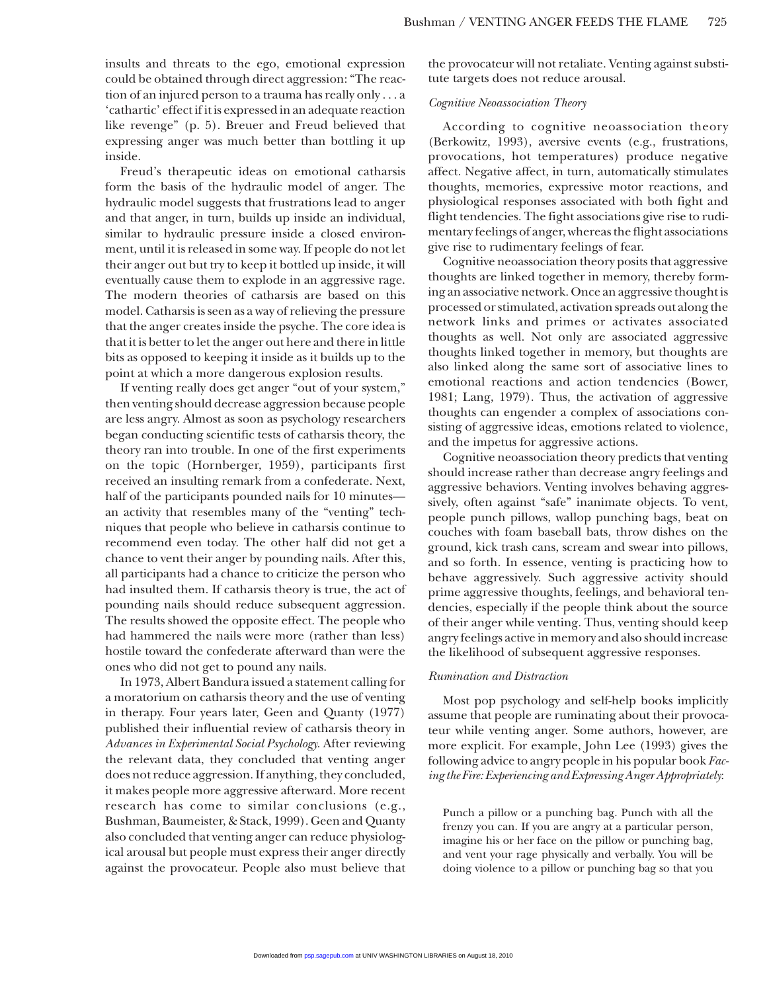insults and threats to the ego, emotional expression could be obtained through direct aggression: "The reaction of an injured person to a trauma has really only...a 'cathartic' effect if it is expressed in an adequate reaction like revenge" (p. 5). Breuer and Freud believed that expressing anger was much better than bottling it up inside.

Freud's therapeutic ideas on emotional catharsis form the basis of the hydraulic model of anger. The hydraulic model suggests that frustrations lead to anger and that anger, in turn, builds up inside an individual, similar to hydraulic pressure inside a closed environment, until it is released in some way. If people do not let their anger out but try to keep it bottled up inside, it will eventually cause them to explode in an aggressive rage. The modern theories of catharsis are based on this model. Catharsis is seen as a way of relieving the pressure that the anger creates inside the psyche. The core idea is that it is better to let the anger out here and there in little bits as opposed to keeping it inside as it builds up to the point at which a more dangerous explosion results.

If venting really does get anger "out of your system," then venting should decrease aggression because people are less angry. Almost as soon as psychology researchers began conducting scientific tests of catharsis theory, the theory ran into trouble. In one of the first experiments on the topic (Hornberger, 1959), participants first received an insulting remark from a confederate. Next, half of the participants pounded nails for 10 minutes an activity that resembles many of the "venting" techniques that people who believe in catharsis continue to recommend even today. The other half did not get a chance to vent their anger by pounding nails. After this, all participants had a chance to criticize the person who had insulted them. If catharsis theory is true, the act of pounding nails should reduce subsequent aggression. The results showed the opposite effect. The people who had hammered the nails were more (rather than less) hostile toward the confederate afterward than were the ones who did not get to pound any nails.

In 1973, Albert Bandura issued a statement calling for a moratorium on catharsis theory and the use of venting in therapy. Four years later, Geen and Quanty (1977) published their influential review of catharsis theory in *Advances in Experimental Social Psychology*. After reviewing the relevant data, they concluded that venting anger does not reduce aggression. If anything, they concluded, it makes people more aggressive afterward. More recent research has come to similar conclusions (e.g., Bushman, Baumeister, & Stack, 1999). Geen and Quanty also concluded that venting anger can reduce physiological arousal but people must express their anger directly against the provocateur. People also must believe that

the provocateur will not retaliate. Venting against substitute targets does not reduce arousal.

## *Cognitive Neoassociation Theory*

According to cognitive neoassociation theory (Berkowitz, 1993), aversive events (e.g., frustrations, provocations, hot temperatures) produce negative affect. Negative affect, in turn, automatically stimulates thoughts, memories, expressive motor reactions, and physiological responses associated with both fight and flight tendencies. The fight associations give rise to rudimentary feelings of anger, whereas the flight associations give rise to rudimentary feelings of fear.

Cognitive neoassociation theory posits that aggressive thoughts are linked together in memory, thereby forming an associative network. Once an aggressive thought is processed or stimulated, activation spreads out along the network links and primes or activates associated thoughts as well. Not only are associated aggressive thoughts linked together in memory, but thoughts are also linked along the same sort of associative lines to emotional reactions and action tendencies (Bower, 1981; Lang, 1979). Thus, the activation of aggressive thoughts can engender a complex of associations consisting of aggressive ideas, emotions related to violence, and the impetus for aggressive actions.

Cognitive neoassociation theory predicts that venting should increase rather than decrease angry feelings and aggressive behaviors. Venting involves behaving aggressively, often against "safe" inanimate objects. To vent, people punch pillows, wallop punching bags, beat on couches with foam baseball bats, throw dishes on the ground, kick trash cans, scream and swear into pillows, and so forth. In essence, venting is practicing how to behave aggressively. Such aggressive activity should prime aggressive thoughts, feelings, and behavioral tendencies, especially if the people think about the source of their anger while venting. Thus, venting should keep angry feelings active in memory and also should increase the likelihood of subsequent aggressive responses.

#### *Rumination and Distraction*

Most pop psychology and self-help books implicitly assume that people are ruminating about their provocateur while venting anger. Some authors, however, are more explicit. For example, John Lee (1993) gives the following advice to angry people in his popular book *Facing the Fire: Experiencing and Expressing Anger Appropriately*:

Punch a pillow or a punching bag. Punch with all the frenzy you can. If you are angry at a particular person, imagine his or her face on the pillow or punching bag, and vent your rage physically and verbally. You will be doing violence to a pillow or punching bag so that you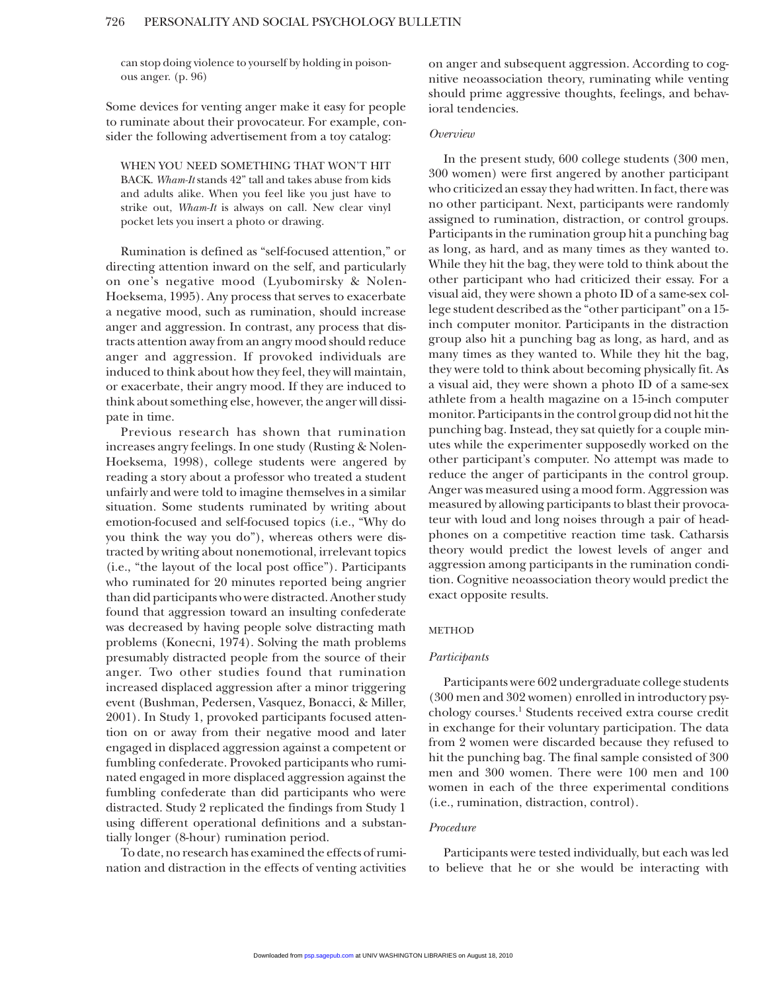can stop doing violence to yourself by holding in poisonous anger. (p. 96)

Some devices for venting anger make it easy for people to ruminate about their provocateur. For example, consider the following advertisement from a toy catalog:

WHEN YOU NEED SOMETHING THAT WON'T HIT BACK. *Wham-It* stands 42" tall and takes abuse from kids and adults alike. When you feel like you just have to strike out, *Wham-It* is always on call. New clear vinyl pocket lets you insert a photo or drawing.

Rumination is defined as "self-focused attention," or directing attention inward on the self, and particularly on one's negative mood (Lyubomirsky & Nolen-Hoeksema, 1995). Any process that serves to exacerbate a negative mood, such as rumination, should increase anger and aggression. In contrast, any process that distracts attention away from an angry mood should reduce anger and aggression. If provoked individuals are induced to think about how they feel, they will maintain, or exacerbate, their angry mood. If they are induced to think about something else, however, the anger will dissipate in time.

Previous research has shown that rumination increases angry feelings. In one study (Rusting & Nolen-Hoeksema, 1998), college students were angered by reading a story about a professor who treated a student unfairly and were told to imagine themselves in a similar situation. Some students ruminated by writing about emotion-focused and self-focused topics (i.e., "Why do you think the way you do"), whereas others were distracted by writing about nonemotional, irrelevant topics (i.e., "the layout of the local post office"). Participants who ruminated for 20 minutes reported being angrier than did participants who were distracted. Another study found that aggression toward an insulting confederate was decreased by having people solve distracting math problems (Konecni, 1974). Solving the math problems presumably distracted people from the source of their anger. Two other studies found that rumination increased displaced aggression after a minor triggering event (Bushman, Pedersen, Vasquez, Bonacci, & Miller, 2001). In Study 1, provoked participants focused attention on or away from their negative mood and later engaged in displaced aggression against a competent or fumbling confederate. Provoked participants who ruminated engaged in more displaced aggression against the fumbling confederate than did participants who were distracted. Study 2 replicated the findings from Study 1 using different operational definitions and a substantially longer (8-hour) rumination period.

To date, no research has examined the effects of rumination and distraction in the effects of venting activities

on anger and subsequent aggression. According to cognitive neoassociation theory, ruminating while venting should prime aggressive thoughts, feelings, and behavioral tendencies.

#### *Overview*

In the present study, 600 college students (300 men, 300 women) were first angered by another participant who criticized an essay they had written. In fact, there was no other participant. Next, participants were randomly assigned to rumination, distraction, or control groups. Participants in the rumination group hit a punching bag as long, as hard, and as many times as they wanted to. While they hit the bag, they were told to think about the other participant who had criticized their essay. For a visual aid, they were shown a photo ID of a same-sex college student described as the "other participant" on a 15 inch computer monitor. Participants in the distraction group also hit a punching bag as long, as hard, and as many times as they wanted to. While they hit the bag, they were told to think about becoming physically fit. As a visual aid, they were shown a photo ID of a same-sex athlete from a health magazine on a 15-inch computer monitor. Participants in the control group did not hit the punching bag. Instead, they sat quietly for a couple minutes while the experimenter supposedly worked on the other participant's computer. No attempt was made to reduce the anger of participants in the control group. Anger was measured using a mood form. Aggression was measured by allowing participants to blast their provocateur with loud and long noises through a pair of headphones on a competitive reaction time task. Catharsis theory would predict the lowest levels of anger and aggression among participants in the rumination condition. Cognitive neoassociation theory would predict the exact opposite results.

#### METHOD

#### *Participants*

Participants were 602 undergraduate college students (300 men and 302 women) enrolled in introductory psychology courses.1 Students received extra course credit in exchange for their voluntary participation. The data from 2 women were discarded because they refused to hit the punching bag. The final sample consisted of 300 men and 300 women. There were 100 men and 100 women in each of the three experimental conditions (i.e., rumination, distraction, control).

### *Procedure*

Participants were tested individually, but each was led to believe that he or she would be interacting with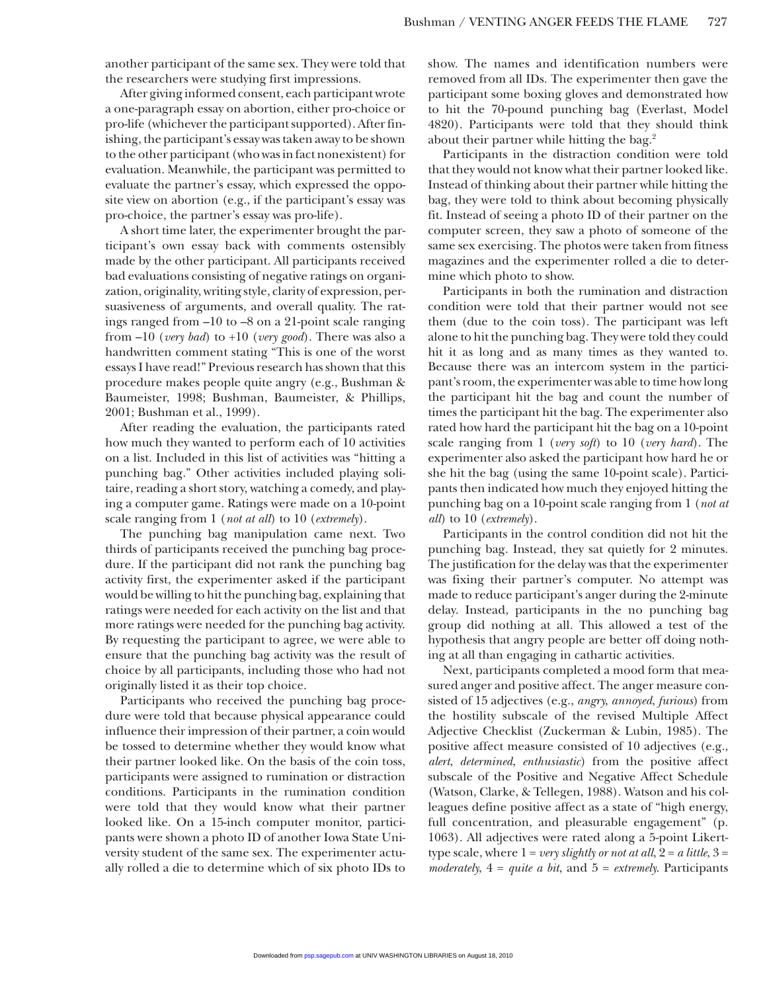another participant of the same sex. They were told that the researchers were studying first impressions.

After giving informed consent, each participant wrote a one-paragraph essay on abortion, either pro-choice or pro-life (whichever the participant supported). After finishing, the participant's essay was taken away to be shown to the other participant (who was in fact nonexistent) for evaluation. Meanwhile, the participant was permitted to evaluate the partner's essay, which expressed the opposite view on abortion (e.g., if the participant's essay was pro-choice, the partner's essay was pro-life).

A short time later, the experimenter brought the participant's own essay back with comments ostensibly made by the other participant. All participants received bad evaluations consisting of negative ratings on organization, originality, writing style, clarity of expression, persuasiveness of arguments, and overall quality. The ratings ranged from –10 to –8 on a 21-point scale ranging from –10 (*very bad*) to +10 (*very good*). There was also a handwritten comment stating "This is one of the worst essays I have read!" Previous research has shown that this procedure makes people quite angry (e.g., Bushman & Baumeister, 1998; Bushman, Baumeister, & Phillips, 2001; Bushman et al., 1999).

After reading the evaluation, the participants rated how much they wanted to perform each of 10 activities on a list. Included in this list of activities was "hitting a punching bag." Other activities included playing solitaire, reading a short story, watching a comedy, and playing a computer game. Ratings were made on a 10-point scale ranging from 1 (*not at all*) to 10 (*extremely*).

The punching bag manipulation came next. Two thirds of participants received the punching bag procedure. If the participant did not rank the punching bag activity first, the experimenter asked if the participant would be willing to hit the punching bag, explaining that ratings were needed for each activity on the list and that more ratings were needed for the punching bag activity. By requesting the participant to agree, we were able to ensure that the punching bag activity was the result of choice by all participants, including those who had not originally listed it as their top choice.

Participants who received the punching bag procedure were told that because physical appearance could influence their impression of their partner, a coin would be tossed to determine whether they would know what their partner looked like. On the basis of the coin toss, participants were assigned to rumination or distraction conditions. Participants in the rumination condition were told that they would know what their partner looked like. On a 15-inch computer monitor, participants were shown a photo ID of another Iowa State University student of the same sex. The experimenter actually rolled a die to determine which of six photo IDs to

show. The names and identification numbers were removed from all IDs. The experimenter then gave the participant some boxing gloves and demonstrated how to hit the 70-pound punching bag (Everlast, Model 4820). Participants were told that they should think about their partner while hitting the bag.<sup>2</sup>

Participants in the distraction condition were told that they would not know what their partner looked like. Instead of thinking about their partner while hitting the bag, they were told to think about becoming physically fit. Instead of seeing a photo ID of their partner on the computer screen, they saw a photo of someone of the same sex exercising. The photos were taken from fitness magazines and the experimenter rolled a die to determine which photo to show.

Participants in both the rumination and distraction condition were told that their partner would not see them (due to the coin toss). The participant was left alone to hit the punching bag. They were told they could hit it as long and as many times as they wanted to. Because there was an intercom system in the participant's room, the experimenter was able to time how long the participant hit the bag and count the number of times the participant hit the bag. The experimenter also rated how hard the participant hit the bag on a 10-point scale ranging from 1 (*very soft*) to 10 (*very hard*). The experimenter also asked the participant how hard he or she hit the bag (using the same 10-point scale). Participants then indicated how much they enjoyed hitting the punching bag on a 10-point scale ranging from 1 (*not at all*) to 10 (*extremely*).

Participants in the control condition did not hit the punching bag. Instead, they sat quietly for 2 minutes. The justification for the delay was that the experimenter was fixing their partner's computer. No attempt was made to reduce participant's anger during the 2-minute delay. Instead, participants in the no punching bag group did nothing at all. This allowed a test of the hypothesis that angry people are better off doing nothing at all than engaging in cathartic activities.

Next, participants completed a mood form that measured anger and positive affect. The anger measure consisted of 15 adjectives (e.g., *angry*, *annoyed*, *furious*) from the hostility subscale of the revised Multiple Affect Adjective Checklist (Zuckerman & Lubin, 1985). The positive affect measure consisted of 10 adjectives (e.g., *alert*, *determined*, *enthusiastic*) from the positive affect subscale of the Positive and Negative Affect Schedule (Watson, Clarke, & Tellegen, 1988). Watson and his colleagues define positive affect as a state of "high energy, full concentration, and pleasurable engagement" (p. 1063). All adjectives were rated along a 5-point Likerttype scale, where  $1 = \text{very slightly or not at all, } 2 = \text{a little, } 3 =$ *moderately*,4= *quite a bit*, and 5 = *extremely*. Participants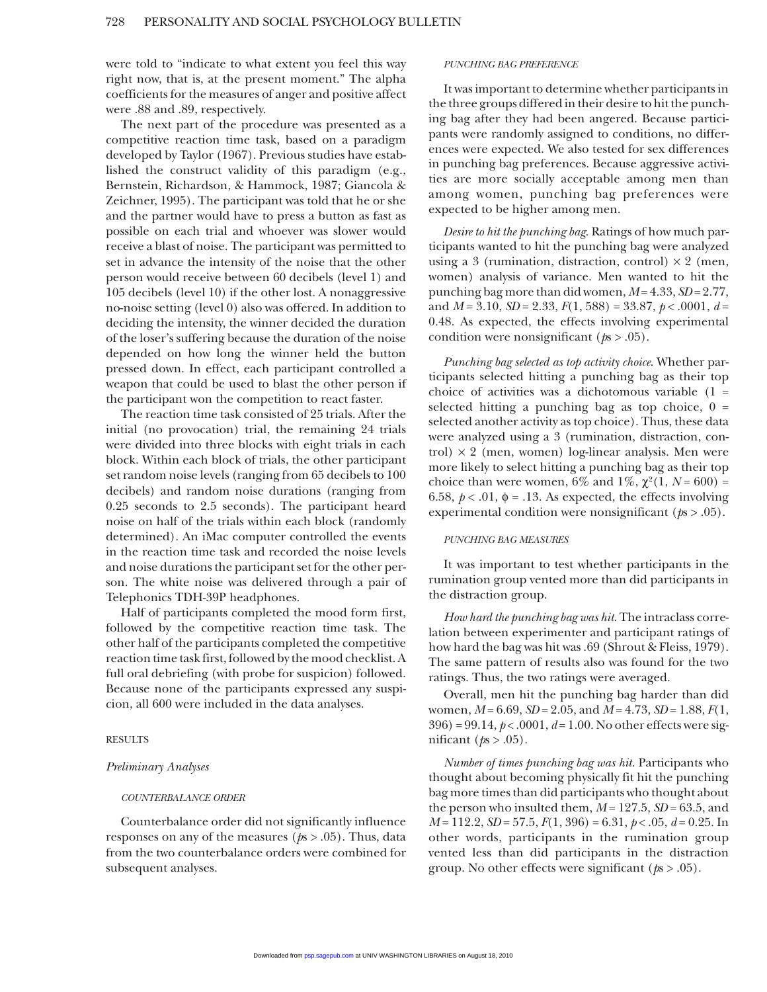were told to "indicate to what extent you feel this way right now, that is, at the present moment." The alpha coefficients for the measures of anger and positive affect were .88 and .89, respectively.

The next part of the procedure was presented as a competitive reaction time task, based on a paradigm developed by Taylor (1967). Previous studies have established the construct validity of this paradigm (e.g., Bernstein, Richardson, & Hammock, 1987; Giancola & Zeichner, 1995). The participant was told that he or she and the partner would have to press a button as fast as possible on each trial and whoever was slower would receive a blast of noise. The participant was permitted to set in advance the intensity of the noise that the other person would receive between 60 decibels (level 1) and 105 decibels (level 10) if the other lost. A nonaggressive no-noise setting (level 0) also was offered. In addition to deciding the intensity, the winner decided the duration of the loser's suffering because the duration of the noise depended on how long the winner held the button pressed down. In effect, each participant controlled a weapon that could be used to blast the other person if the participant won the competition to react faster.

The reaction time task consisted of 25 trials. After the initial (no provocation) trial, the remaining 24 trials were divided into three blocks with eight trials in each block. Within each block of trials, the other participant set random noise levels (ranging from 65 decibels to 100 decibels) and random noise durations (ranging from 0.25 seconds to 2.5 seconds). The participant heard noise on half of the trials within each block (randomly determined). An iMac computer controlled the events in the reaction time task and recorded the noise levels and noise durations the participant set for the other person. The white noise was delivered through a pair of Telephonics TDH-39P headphones.

Half of participants completed the mood form first, followed by the competitive reaction time task. The other half of the participants completed the competitive reaction time task first, followed by the mood checklist. A full oral debriefing (with probe for suspicion) followed. Because none of the participants expressed any suspicion, all 600 were included in the data analyses.

#### **RESULTS**

#### *Preliminary Analyses*

#### *COUNTERBALANCE ORDER*

Counterbalance order did not significantly influence responses on any of the measures (*p*s > .05). Thus, data from the two counterbalance orders were combined for subsequent analyses.

#### *PUNCHING BAG PREFERENCE*

It was important to determine whether participants in the three groups differed in their desire to hit the punching bag after they had been angered. Because participants were randomly assigned to conditions, no differences were expected. We also tested for sex differences in punching bag preferences. Because aggressive activities are more socially acceptable among men than among women, punching bag preferences were expected to be higher among men.

*Desire to hit the punching bag*. Ratings of how much participants wanted to hit the punching bag were analyzed using a 3 (rumination, distraction, control)  $\times$  2 (men, women) analysis of variance. Men wanted to hit the punching bag more than did women, *M* = 4.33, *SD*= 2.77, and *M* = 3.10, *SD* = 2.33, *F*(1, 588) = 33.87, *p* < .0001, *d* = 0.48. As expected, the effects involving experimental condition were nonsignificant (*p*s > .05).

*Punching bag selected as top activity choice*. Whether participants selected hitting a punching bag as their top choice of activities was a dichotomous variable  $(1 =$ selected hitting a punching bag as top choice,  $0 =$ selected another activity as top choice). Thus, these data were analyzed using a 3 (rumination, distraction, control)  $\times$  2 (men, women) log-linear analysis. Men were more likely to select hitting a punching bag as their top choice than were women,  $6\%$  and  $1\%, \chi^2(1, N = 600) =$ 6.58,  $p < .01$ ,  $\phi = .13$ . As expected, the effects involving experimental condition were nonsignificant ( $p$ s > .05).

#### *PUNCHING BAG MEASURES*

It was important to test whether participants in the rumination group vented more than did participants in the distraction group.

*How hard the punching bag was hit*. The intraclass correlation between experimenter and participant ratings of how hard the bag was hit was .69 (Shrout & Fleiss, 1979). The same pattern of results also was found for the two ratings. Thus, the two ratings were averaged.

Overall, men hit the punching bag harder than did women, *M* = 6.69, *SD* = 2.05, and *M* = 4.73, *SD* = 1.88, *F*(1, 396) = 99.14, *p* < .0001, *d* = 1.00. No other effects were significant ( $p_s > .05$ ).

*Number of times punching bag was hit*. Participants who thought about becoming physically fit hit the punching bag more times than did participants who thought about the person who insulted them,  $M = 127.5$ ,  $SD = 63.5$ , and *M* = 112.2, *SD* = 57.5, *F*(1, 396) = 6.31, *p* < .05, *d* = 0.25. In other words, participants in the rumination group vented less than did participants in the distraction group. No other effects were significant (*p*s > .05).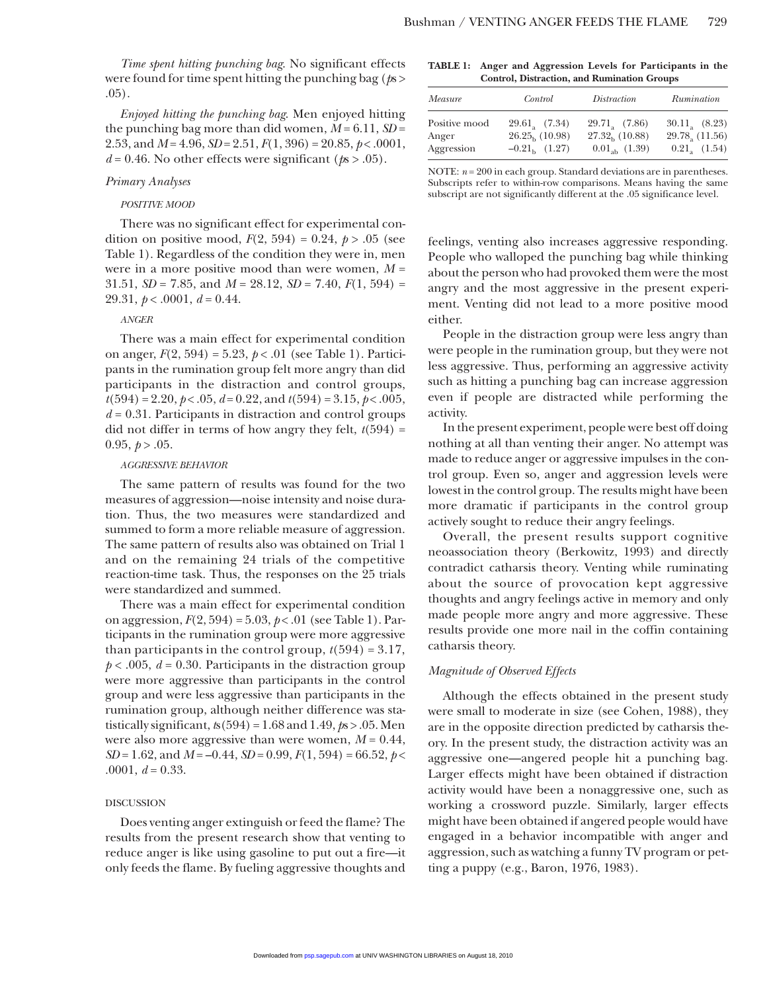*Time spent hitting punching bag*. No significant effects were found for time spent hitting the punching bag (*p*s > .05).

*Enjoyed hitting the punching bag*. Men enjoyed hitting the punching bag more than did women,  $M = 6.11$ ,  $SD =$ 2.53, and  $M = 4.96$ ,  $SD = 2.51$ ,  $F(1, 396) = 20.85$ ,  $p < .0001$ ,  $d = 0.46$ . No other effects were significant ( $p_s > .05$ ).

#### *Primary Analyses*

#### *POSITIVE MOOD*

There was no significant effect for experimental condition on positive mood,  $F(2, 594) = 0.24$ ,  $p > .05$  (see Table 1). Regardless of the condition they were in, men were in a more positive mood than were women, *M* = 31.51, *SD* = 7.85, and *M* = 28.12, *SD* = 7.40,  $F(1, 594)$  = 29.31,  $p < .0001$ ,  $d = 0.44$ .

#### *ANGER*

There was a main effect for experimental condition on anger, *F*(2, 594) = 5.23, *p* < .01 (see Table 1). Participants in the rumination group felt more angry than did participants in the distraction and control groups,  $t(594) = 2.20, p < .05, d = 0.22,$  and  $t(594) = 3.15, p < .005,$ *d* = 0.31. Participants in distraction and control groups did not differ in terms of how angry they felt,  $t(594) =$ 0.95,  $p > .05$ .

#### *AGGRESSIVE BEHAVIOR*

The same pattern of results was found for the two measures of aggression—noise intensity and noise duration. Thus, the two measures were standardized and summed to form a more reliable measure of aggression. The same pattern of results also was obtained on Trial 1 and on the remaining 24 trials of the competitive reaction-time task. Thus, the responses on the 25 trials were standardized and summed.

There was a main effect for experimental condition on aggression, *F*(2, 594) = 5.03, *p* < .01 (see Table 1). Participants in the rumination group were more aggressive than participants in the control group,  $t(594) = 3.17$ ,  $p < .005$ ,  $d = 0.30$ . Participants in the distraction group were more aggressive than participants in the control group and were less aggressive than participants in the rumination group, although neither difference was statistically significant, *t*s(594) = 1.68 and 1.49, *p*s > .05. Men were also more aggressive than were women,  $M = 0.44$ , *SD* = 1.62, and *M* = –0.44, *SD* = 0.99, *F*(1, 594) = 66.52, *p* <  $.0001, d = 0.33.$ 

#### DISCUSSION

Does venting anger extinguish or feed the flame? The results from the present research show that venting to reduce anger is like using gasoline to put out a fire—it only feeds the flame. By fueling aggressive thoughts and

**TABLE 1: Anger and Aggression Levels for Participants in the Control, Distraction, and Rumination Groups**

| Measure       | Control           | Distraction                 | Rumination             |
|---------------|-------------------|-----------------------------|------------------------|
| Positive mood | 29.61(7.34)       | 29.71(7.86)                 | $30.11_{\circ}$ (8.23) |
| Anger         | $26.25_k$ (10.98) | $27.32_k$ (10.88)           | 29.78 (11.56)          |
| Aggression    | $-0.21b$ (1.27)   | $0.01_{\text{ab}}$ $(1.39)$ | 0.21, (1.54)           |

NOTE: *n* = 200 in each group. Standard deviations are in parentheses. Subscripts refer to within-row comparisons. Means having the same subscript are not significantly different at the .05 significance level.

feelings, venting also increases aggressive responding. People who walloped the punching bag while thinking about the person who had provoked them were the most angry and the most aggressive in the present experiment. Venting did not lead to a more positive mood either.

People in the distraction group were less angry than were people in the rumination group, but they were not less aggressive. Thus, performing an aggressive activity such as hitting a punching bag can increase aggression even if people are distracted while performing the activity.

In the present experiment, people were best off doing nothing at all than venting their anger. No attempt was made to reduce anger or aggressive impulses in the control group. Even so, anger and aggression levels were lowest in the control group. The results might have been more dramatic if participants in the control group actively sought to reduce their angry feelings.

Overall, the present results support cognitive neoassociation theory (Berkowitz, 1993) and directly contradict catharsis theory. Venting while ruminating about the source of provocation kept aggressive thoughts and angry feelings active in memory and only made people more angry and more aggressive. These results provide one more nail in the coffin containing catharsis theory.

#### *Magnitude of Observed Effects*

Although the effects obtained in the present study were small to moderate in size (see Cohen, 1988), they are in the opposite direction predicted by catharsis theory. In the present study, the distraction activity was an aggressive one—angered people hit a punching bag. Larger effects might have been obtained if distraction activity would have been a nonaggressive one, such as working a crossword puzzle. Similarly, larger effects might have been obtained if angered people would have engaged in a behavior incompatible with anger and aggression, such as watching a funny TV program or petting a puppy (e.g., Baron, 1976, 1983).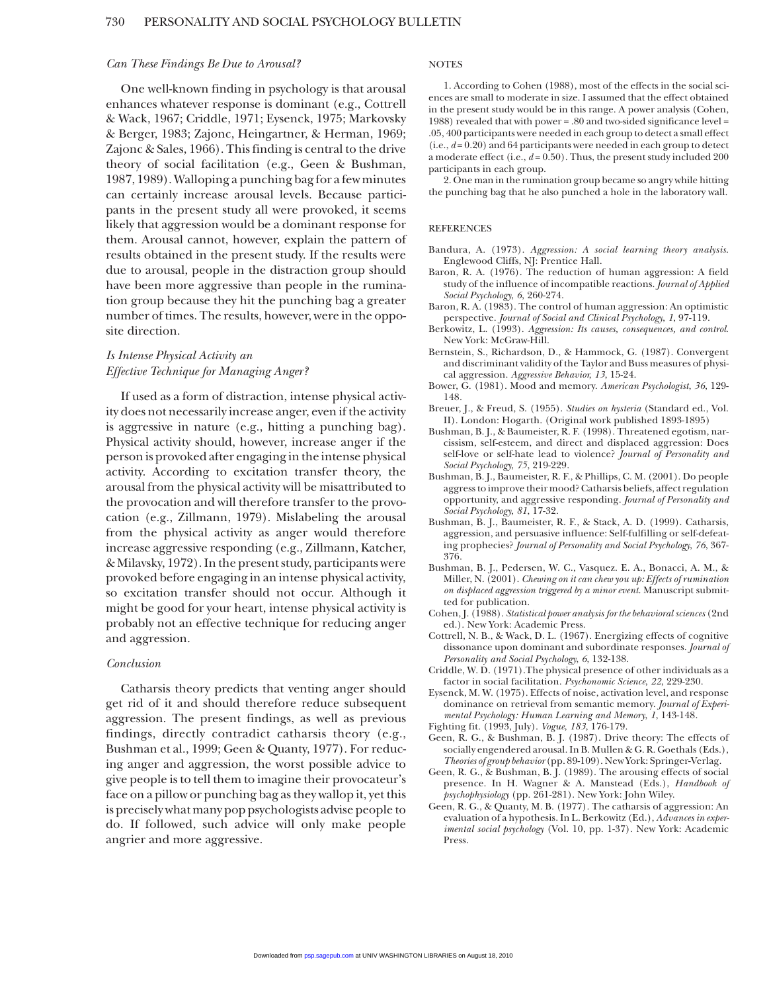#### *Can These Findings Be Due to Arousal?*

One well-known finding in psychology is that arousal enhances whatever response is dominant (e.g., Cottrell & Wack, 1967; Criddle, 1971; Eysenck, 1975; Markovsky & Berger, 1983; Zajonc, Heingartner, & Herman, 1969; Zajonc & Sales, 1966). This finding is central to the drive theory of social facilitation (e.g., Geen & Bushman, 1987, 1989). Walloping a punching bag for a few minutes can certainly increase arousal levels. Because participants in the present study all were provoked, it seems likely that aggression would be a dominant response for them. Arousal cannot, however, explain the pattern of results obtained in the present study. If the results were due to arousal, people in the distraction group should have been more aggressive than people in the rumination group because they hit the punching bag a greater number of times. The results, however, were in the opposite direction.

# *Is Intense Physical Activity an Effective Technique for Managing Anger?*

If used as a form of distraction, intense physical activity does not necessarily increase anger, even if the activity is aggressive in nature (e.g., hitting a punching bag). Physical activity should, however, increase anger if the person is provoked after engaging in the intense physical activity. According to excitation transfer theory, the arousal from the physical activity will be misattributed to the provocation and will therefore transfer to the provocation (e.g., Zillmann, 1979). Mislabeling the arousal from the physical activity as anger would therefore increase aggressive responding (e.g., Zillmann, Katcher, & Milavsky, 1972). In the present study, participants were provoked before engaging in an intense physical activity, so excitation transfer should not occur. Although it might be good for your heart, intense physical activity is probably not an effective technique for reducing anger and aggression.

#### *Conclusion*

Catharsis theory predicts that venting anger should get rid of it and should therefore reduce subsequent aggression. The present findings, as well as previous findings, directly contradict catharsis theory (e.g., Bushman et al., 1999; Geen & Quanty, 1977). For reducing anger and aggression, the worst possible advice to give people is to tell them to imagine their provocateur's face on a pillow or punching bag as they wallop it, yet this is precisely what many pop psychologists advise people to do. If followed, such advice will only make people angrier and more aggressive.

#### **NOTES**

1. According to Cohen (1988), most of the effects in the social sciences are small to moderate in size. I assumed that the effect obtained in the present study would be in this range. A power analysis (Cohen, 1988) revealed that with power = .80 and two-sided significance level = .05, 400 participants were needed in each group to detect a small effect (i.e., *d* = 0.20) and 64 participants were needed in each group to detect a moderate effect (i.e., *d* = 0.50). Thus, the present study included 200 participants in each group.

2. One man in the rumination group became so angry while hitting the punching bag that he also punched a hole in the laboratory wall.

#### **REFERENCES**

- Bandura, A. (1973). *Aggression: A social learning theory analysis*. Englewood Cliffs, NJ: Prentice Hall.
- Baron, R. A. (1976). The reduction of human aggression: A field study of the influence of incompatible reactions. *Journal of Applied Social Psychology*, *6*, 260-274.
- Baron, R. A. (1983). The control of human aggression: An optimistic perspective. *Journal of Social and Clinical Psychology*, *1*, 97-119.
- Berkowitz, L. (1993). *Aggression: Its causes, consequences, and control.* New York: McGraw-Hill.
- Bernstein, S., Richardson, D., & Hammock, G. (1987). Convergent and discriminant validity of the Taylor and Buss measures of physical aggression. *Aggressive Behavior*, *13*, 15-24.
- Bower, G. (1981). Mood and memory. *American Psychologist*, *36*, 129- 148.
- Breuer, J., & Freud, S. (1955). *Studies on hysteria* (Standard ed., Vol. II). London: Hogarth. (Original work published 1893-1895)
- Bushman, B. J., & Baumeister, R. F. (1998). Threatened egotism, narcissism, self-esteem, and direct and displaced aggression: Does self-love or self-hate lead to violence? *Journal of Personality and Social Psychology*, *75*, 219-229.
- Bushman, B. J., Baumeister, R. F., & Phillips, C. M. (2001). Do people aggress to improve their mood? Catharsis beliefs, affect regulation opportunity, and aggressive responding. *Journal of Personality and Social Psychology*, *81*, 17-32.
- Bushman, B. J., Baumeister, R. F., & Stack, A. D. (1999). Catharsis, aggression, and persuasive influence: Self-fulfilling or self-defeating prophecies? *Journal of Personality and Social Psychology*, *76*, 367- 376.
- Bushman, B. J., Pedersen, W. C., Vasquez. E. A., Bonacci, A. M., & Miller, N. (2001). *Chewing on it can chew you up: Effects of rumination on displaced aggression triggered by a minor event*. Manuscript submitted for publication.
- Cohen, J. (1988). *Statistical power analysis for the behavioral sciences* (2nd ed.). New York: Academic Press.
- Cottrell, N. B., & Wack, D. L. (1967). Energizing effects of cognitive dissonance upon dominant and subordinate responses. *Journal of Personality and Social Psychology*, *6*, 132-138.
- Criddle, W. D. (1971).The physical presence of other individuals as a factor in social facilitation. *Psychonomic Science*, *22*, 229-230.
- Eysenck, M. W. (1975). Effects of noise, activation level, and response dominance on retrieval from semantic memory. *Journal of Experimental Psychology: Human Learning and Memory*, *1*, 143-148.
- Fighting fit. (1993, July). *Vogue*, *183*, 176-179.
- Geen, R. G., & Bushman, B. J. (1987). Drive theory: The effects of socially engendered arousal. In B. Mullen & G. R. Goethals (Eds.), *Theories of group behavior* (pp. 89-109). New York: Springer-Verlag.
- Geen, R. G., & Bushman, B. J. (1989). The arousing effects of social presence. In H. Wagner & A. Manstead (Eds.), *Handbook of psychophysiology* (pp. 261-281). New York: John Wiley.
- Geen, R. G., & Quanty, M. B. (1977). The catharsis of aggression: An evaluation of a hypothesis. In L. Berkowitz (Ed.), *Advances in experimental social psychology* (Vol. 10, pp. 1-37). New York: Academic Press.